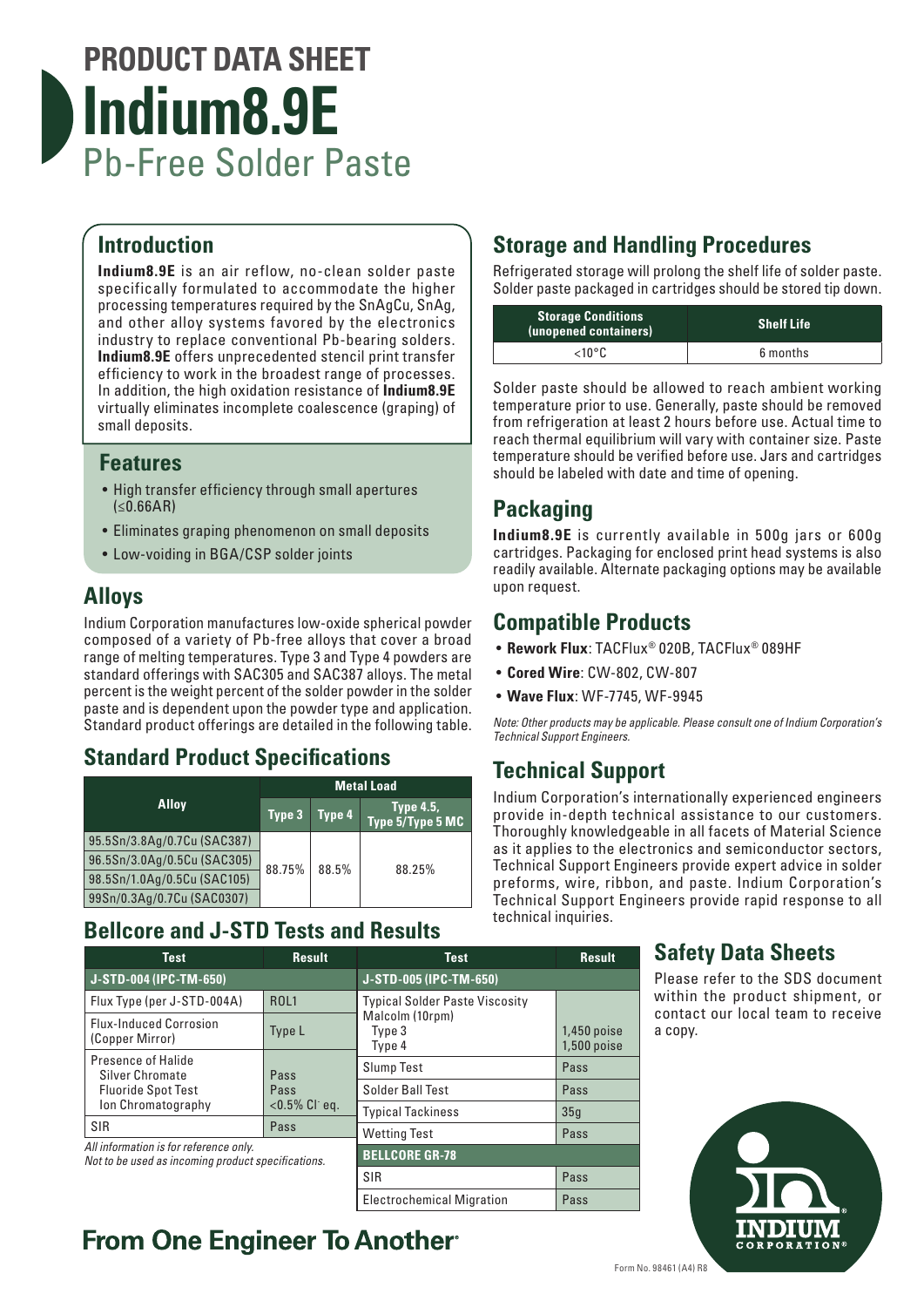# **PRODUCT DATA SHEET Indium8.9E** Pb-Free Solder Paste

#### **Introduction**

**Indium8.9E** is an air reflow, no-clean solder paste specifically formulated to accommodate the higher processing temperatures required by the SnAgCu, SnAg, and other alloy systems favored by the electronics industry to replace conventional Pb-bearing solders. **Indium8.9E** offers unprecedented stencil print transfer efficiency to work in the broadest range of processes. In addition, the high oxidation resistance of **Indium8.9E** virtually eliminates incomplete coalescence (graping) of small deposits.

#### **Features**

- High transfer efficiency through small apertures  $(**0.66**AR)$
- Eliminates graping phenomenon on small deposits
- Low-voiding in BGA/CSP solder joints

### **Alloys**

Indium Corporation manufactures low-oxide spherical powder composed of a variety of Pb-free alloys that cover a broad range of melting temperatures. Type 3 and Type 4 powders are standard offerings with SAC305 and SAC387 alloys. The metal percent is the weight percent of the solder powder in the solder paste and is dependent upon the powder type and application. Standard product offerings are detailed in the following table.

### **Standard Product Specifications**

|                             | <b>Metal Load</b> |        |                                      |
|-----------------------------|-------------------|--------|--------------------------------------|
| <b>Alloy</b>                | Type 3            | Type 4 | <b>Type 4.5,</b><br>Type 5/Type 5 MC |
| 95.5Sn/3.8Ag/0.7Cu (SAC387) | 88.75%            | 88.5%  | 88.25%                               |
| 96.5Sn/3.0Ag/0.5Cu (SAC305) |                   |        |                                      |
| 98.5Sn/1.0Ag/0.5Cu (SAC105) |                   |        |                                      |
| 99Sn/0.3Ag/0.7Cu (SAC0307)  |                   |        |                                      |

### **Bellcore and J-STD Tests and Results**

| <b>Test</b>                                                                                  | <b>Result</b>     | <b>Test</b>                           | <b>Result</b>                |  |
|----------------------------------------------------------------------------------------------|-------------------|---------------------------------------|------------------------------|--|
| J-STD-004 (IPC-TM-650)                                                                       |                   | J-STD-005 (IPC-TM-650)                |                              |  |
| Flux Type (per J-STD-004A)                                                                   | <b>ROL1</b>       | <b>Typical Solder Paste Viscosity</b> |                              |  |
| <b>Flux-Induced Corrosion</b><br>(Copper Mirror)                                             | Type L            | Malcolm (10rpm)<br>Type 3<br>Type 4   | $1,450$ poise<br>1,500 poise |  |
| Presence of Halide<br><b>Silver Chromate</b><br>Pass<br><b>Fluoride Spot Test</b><br>Pass    | <b>Slump Test</b> | Pass                                  |                              |  |
|                                                                                              | Solder Ball Test  | Pass                                  |                              |  |
| Ion Chromatography                                                                           | $< 0.5\%$ Cl eq.  | <b>Typical Tackiness</b>              | 35q                          |  |
| <b>SIR</b>                                                                                   | Pass              | <b>Wetting Test</b>                   | Pass                         |  |
| All information is for reference only.<br>Not to be used as incoming product specifications. |                   | <b>BELLCORE GR-78</b>                 |                              |  |
|                                                                                              |                   | <b>SIR</b>                            | Pass                         |  |

Electrochemical Migration Pass

# **From One Engineer To Another**®

## **Storage and Handling Procedures**

Refrigerated storage will prolong the shelf life of solder paste. Solder paste packaged in cartridges should be stored tip down.

| <b>Storage Conditions</b><br>(unopened containers) | <b>Shelf Life</b> |
|----------------------------------------------------|-------------------|
| $<$ 10°C                                           | 6 months          |

Solder paste should be allowed to reach ambient working temperature prior to use. Generally, paste should be removed from refrigeration at least 2 hours before use. Actual time to reach thermal equilibrium will vary with container size. Paste temperature should be verified before use. Jars and cartridges should be labeled with date and time of opening.

## **Packaging**

**Indium8.9E** is currently available in 500g jars or 600g cartridges. Packaging for enclosed print head systems is also readily available. Alternate packaging options may be available upon request.

#### **Compatible Products**

- **Rework Flux**: TACFlux® 020B, TACFlux® 089HF
- **Cored Wire**: CW-802, CW-807
- **Wave Flux**: WF-7745, WF-9945

*Note: Other products may be applicable. Please consult one of Indium Corporation's Technical Support Engineers.*

### **Technical Support**

Indium Corporation's internationally experienced engineers provide in-depth technical assistance to our customers. Thoroughly knowledgeable in all facets of Material Science as it applies to the electronics and semiconductor sectors, Technical Support Engineers provide expert advice in solder preforms, wire, ribbon, and paste. Indium Corporation's Technical Support Engineers provide rapid response to all technical inquiries.

#### **Safety Data Sheets**

Please refer to the SDS document within the product shipment, or contact our local team to receive a copy.